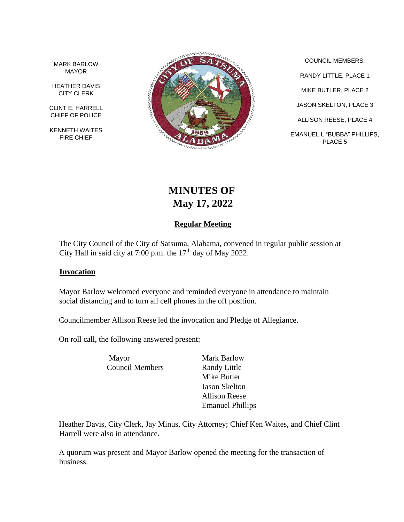MARK BARLOW MAYOR

HEATHER DAVIS CITY CLERK

CLINT E. HARRELL CHIEF OF POLICE

KENNETH WAITES FIRE CHIEF



COUNCIL MEMBERS: RANDY LITTLE, PLACE 1 MIKE BUTLER, PLACE 2 JASON SKELTON, PLACE 3 ALLISON REESE, PLACE 4 EMANUEL L "BUBBA" PHILLIPS, PLACE 5

# **MINUTES OF May 17, 2022**

# **Regular Meeting**

The City Council of the City of Satsuma, Alabama, convened in regular public session at City Hall in said city at 7:00 p.m. the  $17<sup>th</sup>$  day of May 2022.

#### **Invocation**

Mayor Barlow welcomed everyone and reminded everyone in attendance to maintain social distancing and to turn all cell phones in the off position.

Councilmember Allison Reese led the invocation and Pledge of Allegiance.

On roll call, the following answered present:

Mayor Mark Barlow Council Members Randy Little

Mike Butler Jason Skelton Allison Reese Emanuel Phillips

Heather Davis, City Clerk, Jay Minus, City Attorney; Chief Ken Waites, and Chief Clint Harrell were also in attendance.

A quorum was present and Mayor Barlow opened the meeting for the transaction of business.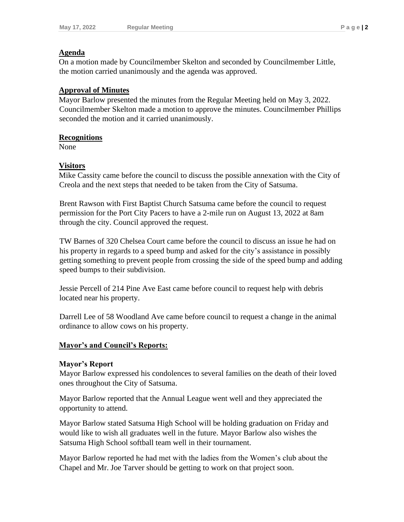## **Agenda**

On a motion made by Councilmember Skelton and seconded by Councilmember Little, the motion carried unanimously and the agenda was approved.

## **Approval of Minutes**

Mayor Barlow presented the minutes from the Regular Meeting held on May 3, 2022. Councilmember Skelton made a motion to approve the minutes. Councilmember Phillips seconded the motion and it carried unanimously.

#### **Recognitions**

None

## **Visitors**

Mike Cassity came before the council to discuss the possible annexation with the City of Creola and the next steps that needed to be taken from the City of Satsuma.

Brent Rawson with First Baptist Church Satsuma came before the council to request permission for the Port City Pacers to have a 2-mile run on August 13, 2022 at 8am through the city. Council approved the request.

TW Barnes of 320 Chelsea Court came before the council to discuss an issue he had on his property in regards to a speed bump and asked for the city's assistance in possibly getting something to prevent people from crossing the side of the speed bump and adding speed bumps to their subdivision.

Jessie Percell of 214 Pine Ave East came before council to request help with debris located near his property.

Darrell Lee of 58 Woodland Ave came before council to request a change in the animal ordinance to allow cows on his property.

## **Mayor's and Council's Reports:**

#### **Mayor's Report**

Mayor Barlow expressed his condolences to several families on the death of their loved ones throughout the City of Satsuma.

Mayor Barlow reported that the Annual League went well and they appreciated the opportunity to attend.

Mayor Barlow stated Satsuma High School will be holding graduation on Friday and would like to wish all graduates well in the future. Mayor Barlow also wishes the Satsuma High School softball team well in their tournament.

Mayor Barlow reported he had met with the ladies from the Women's club about the Chapel and Mr. Joe Tarver should be getting to work on that project soon.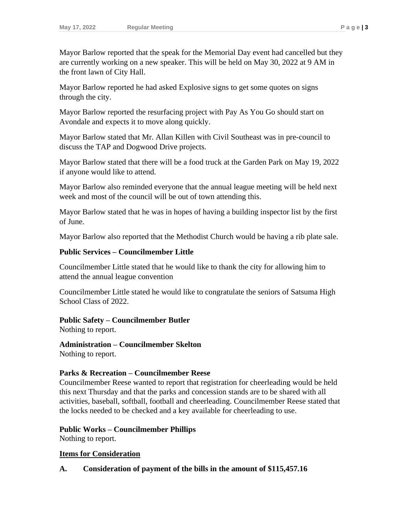Mayor Barlow reported that the speak for the Memorial Day event had cancelled but they are currently working on a new speaker. This will be held on May 30, 2022 at 9 AM in the front lawn of City Hall.

Mayor Barlow reported he had asked Explosive signs to get some quotes on signs through the city.

Mayor Barlow reported the resurfacing project with Pay As You Go should start on Avondale and expects it to move along quickly.

Mayor Barlow stated that Mr. Allan Killen with Civil Southeast was in pre-council to discuss the TAP and Dogwood Drive projects.

Mayor Barlow stated that there will be a food truck at the Garden Park on May 19, 2022 if anyone would like to attend.

Mayor Barlow also reminded everyone that the annual league meeting will be held next week and most of the council will be out of town attending this.

Mayor Barlow stated that he was in hopes of having a building inspector list by the first of June.

Mayor Barlow also reported that the Methodist Church would be having a rib plate sale.

## **Public Services – Councilmember Little**

Councilmember Little stated that he would like to thank the city for allowing him to attend the annual league convention

Councilmember Little stated he would like to congratulate the seniors of Satsuma High School Class of 2022.

#### **Public Safety – Councilmember Butler**

Nothing to report.

**Administration – Councilmember Skelton** Nothing to report.

## **Parks & Recreation – Councilmember Reese**

Councilmember Reese wanted to report that registration for cheerleading would be held this next Thursday and that the parks and concession stands are to be shared with all activities, baseball, softball, football and cheerleading. Councilmember Reese stated that the locks needed to be checked and a key available for cheerleading to use.

## **Public Works – Councilmember Phillips**

Nothing to report.

## **Items for Consideration**

## **A. Consideration of payment of the bills in the amount of \$115,457.16**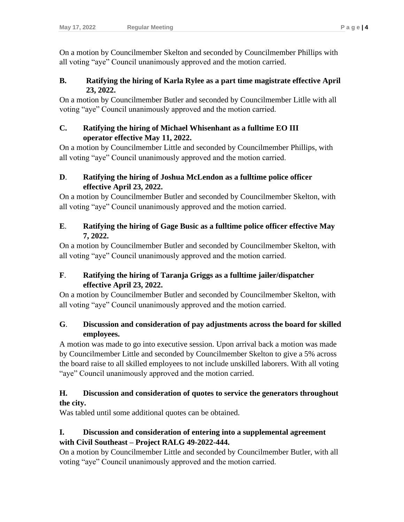On a motion by Councilmember Skelton and seconded by Councilmember Phillips with all voting "aye" Council unanimously approved and the motion carried.

## **B. Ratifying the hiring of Karla Rylee as a part time magistrate effective April 23, 2022.**

On a motion by Councilmember Butler and seconded by Councilmember Litlle with all voting "aye" Council unanimously approved and the motion carried.

## **C. Ratifying the hiring of Michael Whisenhant as a fulltime EO III operator effective May 11, 2022.**

On a motion by Councilmember Little and seconded by Councilmember Phillips, with all voting "aye" Council unanimously approved and the motion carried.

# **D**. **Ratifying the hiring of Joshua McLendon as a fulltime police officer effective April 23, 2022.**

On a motion by Councilmember Butler and seconded by Councilmember Skelton, with all voting "aye" Council unanimously approved and the motion carried.

# **E**. **Ratifying the hiring of Gage Busic as a fulltime police officer effective May 7, 2022.**

On a motion by Councilmember Butler and seconded by Councilmember Skelton, with all voting "aye" Council unanimously approved and the motion carried.

# **F**. **Ratifying the hiring of Taranja Griggs as a fulltime jailer/dispatcher effective April 23, 2022.**

On a motion by Councilmember Butler and seconded by Councilmember Skelton, with all voting "aye" Council unanimously approved and the motion carried.

# **G**. **Discussion and consideration of pay adjustments across the board for skilled employees.**

A motion was made to go into executive session. Upon arrival back a motion was made by Councilmember Little and seconded by Councilmember Skelton to give a 5% across the board raise to all skilled employees to not include unskilled laborers. With all voting "aye" Council unanimously approved and the motion carried.

# **H. Discussion and consideration of quotes to service the generators throughout the city.**

Was tabled until some additional quotes can be obtained.

# **I. Discussion and consideration of entering into a supplemental agreement with Civil Southeast – Project RALG 49-2022-444.**

On a motion by Councilmember Little and seconded by Councilmember Butler, with all voting "aye" Council unanimously approved and the motion carried.